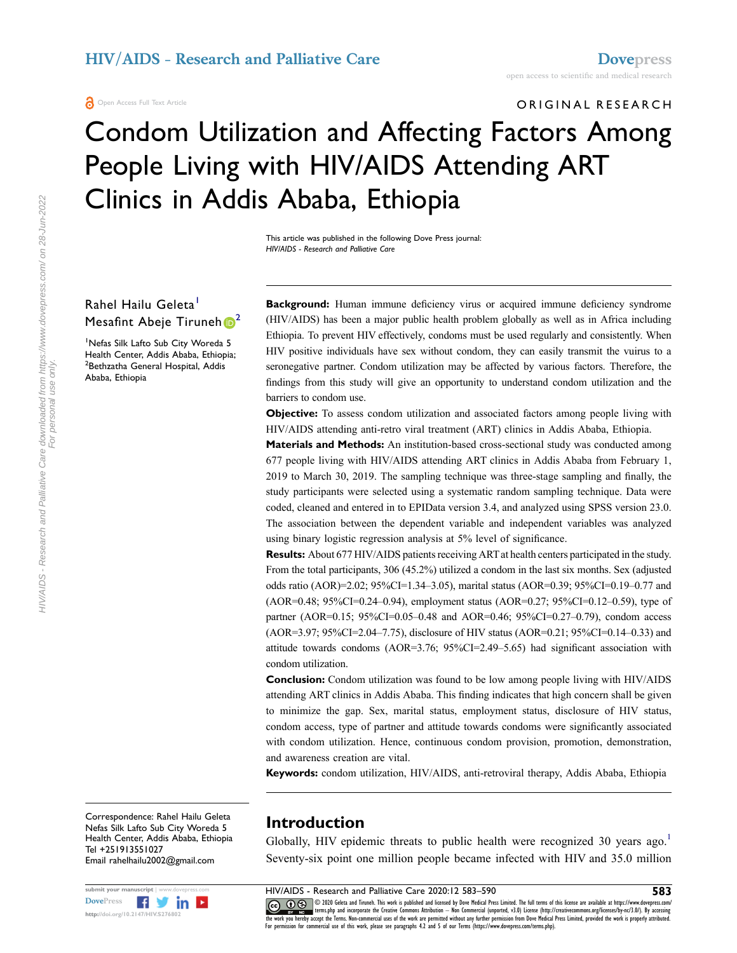Open Access Full Text Article

# ORIGINAL RESEARCH

# Condom Utilization and Affecting Factors Among People Living with HIV/AIDS Attending ART Clinics in Addis Ababa, Ethiopia

This article was published in the following Dove Press journal: *HIV/AIDS - Research and Palliative Care*

Rahel Hailu Geleta<sup>1</sup> Mesafint Abeje Tiruneh $\bigcirc^2$  $\bigcirc^2$ 

<span id="page-0-1"></span><span id="page-0-0"></span>1 Nefas Silk Lafto Sub City Woreda 5 Health Center, Addis Ababa, Ethiopia; 2 <sup>2</sup> Bethzatha General Hospital, Addis Ababa, Ethiopia

**Background:** Human immune deficiency virus or acquired immune deficiency syndrome (HIV/AIDS) has been a major public health problem globally as well as in Africa including Ethiopia. To prevent HIV effectively, condoms must be used regularly and consistently. When HIV positive individuals have sex without condom, they can easily transmit the vuirus to a seronegative partner. Condom utilization may be affected by various factors. Therefore, the findings from this study will give an opportunity to understand condom utilization and the barriers to condom use.

**Objective:** To assess condom utilization and associated factors among people living with HIV/AIDS attending anti-retro viral treatment (ART) clinics in Addis Ababa, Ethiopia.

**Materials and Methods:** An institution-based cross-sectional study was conducted among 677 people living with HIV/AIDS attending ART clinics in Addis Ababa from February 1, 2019 to March 30, 2019. The sampling technique was three-stage sampling and finally, the study participants were selected using a systematic random sampling technique. Data were coded, cleaned and entered in to EPIData version 3.4, and analyzed using SPSS version 23.0. The association between the dependent variable and independent variables was analyzed using binary logistic regression analysis at 5% level of significance.

**Results:** About 677 HIV/AIDS patients receiving ART at health centers participated in the study. From the total participants, 306 (45.2%) utilized a condom in the last six months. Sex (adjusted odds ratio (AOR)=2.02; 95%CI=1.34–3.05), marital status (AOR=0.39; 95%CI=0.19–0.77 and (AOR=0.48; 95%CI=0.24–0.94), employment status (AOR=0.27; 95%CI=0.12–0.59), type of partner (AOR=0.15; 95%CI=0.05–0.48 and AOR=0.46; 95%CI=0.27–0.79), condom access (AOR=3.97; 95%CI=2.04–7.75), disclosure of HIV status (AOR=0.21; 95%CI=0.14–0.33) and attitude towards condoms (AOR=3.76; 95%CI=2.49–5.65) had significant association with condom utilization.

**Conclusion:** Condom utilization was found to be low among people living with HIV/AIDS attending ART clinics in Addis Ababa. This finding indicates that high concern shall be given to minimize the gap. Sex, marital status, employment status, disclosure of HIV status, condom access, type of partner and attitude towards condoms were significantly associated with condom utilization. Hence, continuous condom provision, promotion, demonstration, and awareness creation are vital.

**Keywords:** condom utilization, HIV/AIDS, anti-retroviral therapy, Addis Ababa, Ethiopia

Correspondence: Rahel Hailu Geleta Nefas Silk Lafto Sub City Woreda 5 Health Center, Addis Ababa, Ethiopia Tel +251913551027 Email [rahelhailu2002@gmail.com](mailto:rahelhailu2002@gmail.com)



### **Introduction**

<span id="page-0-2"></span>Globally, HIV epidemic threats to public health were recognized 30 years ago.<sup>1</sup> Seventy-six point one million people became infected with HIV and 35.0 million

submit your manuscript | www.dovepress.com **HIV/AIDS - Research and Palliative Care 2020:12 583–590 583**<br>DovePress **Figure 2020:02 CCC** 10 3020 Geleta and Tiruneh. This work is published and licensed by Dove Medical Pres **CO D**  $\circledast$  © 2020 Geleta and Tiruneh. This work is published and licensed by Dove Medical Press Limited. The full terms of this license are available at https://www.dovepress.com/ www.giventerms.php and incorporate the Creative Commons Attribution — Non Commercial (unported, v3.0) License (http://creativecommons.org/licenses/by-nc/3.0/). By accessing<br>the work you hereby accept the Terms. Non-commerc For permission for commercial use of this work, please see paragraphs 4.2 and 5 of our Terms (https://www.dovepress.com/terms.php).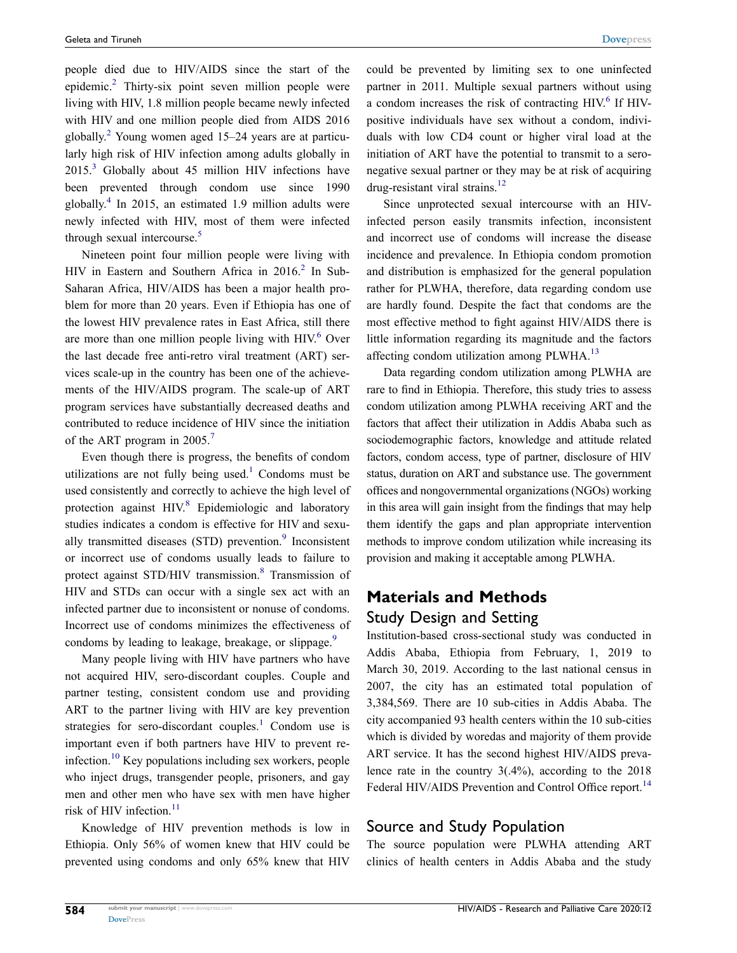people died due to HIV/AIDS since the start of the epidemic[.2](#page-7-1) Thirty-six point seven million people were living with HIV, 1.8 million people became newly infected with HIV and one million people died from AIDS 2016 globally. [2](#page-7-1) Young women aged 15–24 years are at particularly high risk of HIV infection among adults globally in 2015[.3](#page-7-2) Globally about 45 million HIV infections have been prevented through condom use since 1990 globally. [4](#page-7-3) In 2015, an estimated 1.9 million adults were newly infected with HIV, most of them were infected through sexual intercourse.<sup>[5](#page-7-4)</sup>

<span id="page-1-3"></span><span id="page-1-2"></span><span id="page-1-1"></span><span id="page-1-0"></span>Nineteen point four million people were living with HIV in Eastern and Southern Africa in  $2016<sup>2</sup>$  In Sub-Saharan Africa, HIV/AIDS has been a major health problem for more than 20 years. Even if Ethiopia has one of the lowest HIV prevalence rates in East Africa, still there are more than one million people living with HIV.<sup>[6](#page-7-5)</sup> Over the last decade free anti-retro viral treatment (ART) services scale-up in the country has been one of the achievements of the HIV/AIDS program. The scale-up of ART program services have substantially decreased deaths and contributed to reduce incidence of HIV since the initiation of the ART program in 2005.<sup>[7](#page-7-6)</sup>

<span id="page-1-5"></span>Even though there is progress, the benefits of condom utilizations are not fully being used.<sup>1</sup> Condoms must be used consistently and correctly to achieve the high level of protection against HIV.<sup>8</sup> Epidemiologic and laboratory studies indicates a condom is effective for HIV and sexu-ally transmitted diseases (STD) prevention.<sup>[9](#page-7-8)</sup> Inconsistent or incorrect use of condoms usually leads to failure to protect against STD/HIV transmission.<sup>8</sup> Transmission of HIV and STDs can occur with a single sex act with an infected partner due to inconsistent or nonuse of condoms. Incorrect use of condoms minimizes the effectiveness of condoms by leading to leakage, breakage, or slippage.<sup>[9](#page-7-8)</sup>

<span id="page-1-7"></span><span id="page-1-6"></span>Many people living with HIV have partners who have not acquired HIV, sero-discordant couples. Couple and partner testing, consistent condom use and providing ART to the partner living with HIV are key prevention strategies for sero-discordant couples.<sup>[1](#page-7-0)</sup> Condom use is important even if both partners have HIV to prevent reinfection[.10](#page-7-9) Key populations including sex workers, people who inject drugs, transgender people, prisoners, and gay men and other men who have sex with men have higher risk of HIV infection. $11$ 

<span id="page-1-9"></span><span id="page-1-8"></span>Knowledge of HIV prevention methods is low in Ethiopia. Only 56% of women knew that HIV could be prevented using condoms and only 65% knew that HIV

<span id="page-1-4"></span>could be prevented by limiting sex to one uninfected partner in 2011. Multiple sexual partners without using a condom increases the risk of contracting HIV. [6](#page-7-5) If HIVpositive individuals have sex without a condom, individuals with low CD4 count or higher viral load at the initiation of ART have the potential to transmit to a seronegative sexual partner or they may be at risk of acquiring drug-resistant viral strains.<sup>[12](#page-7-11)</sup>

<span id="page-1-10"></span>Since unprotected sexual intercourse with an HIVinfected person easily transmits infection, inconsistent and incorrect use of condoms will increase the disease incidence and prevalence. In Ethiopia condom promotion and distribution is emphasized for the general population rather for PLWHA, therefore, data regarding condom use are hardly found. Despite the fact that condoms are the most effective method to fight against HIV/AIDS there is little information regarding its magnitude and the factors affecting condom utilization among PLWHA.[13](#page-7-12)

<span id="page-1-11"></span>Data regarding condom utilization among PLWHA are rare to find in Ethiopia. Therefore, this study tries to assess condom utilization among PLWHA receiving ART and the factors that affect their utilization in Addis Ababa such as sociodemographic factors, knowledge and attitude related factors, condom access, type of partner, disclosure of HIV status, duration on ART and substance use. The government offices and nongovernmental organizations (NGOs) working in this area will gain insight from the findings that may help them identify the gaps and plan appropriate intervention methods to improve condom utilization while increasing its provision and making it acceptable among PLWHA.

### **Materials and Methods** Study Design and Setting

Institution-based cross-sectional study was conducted in Addis Ababa, Ethiopia from February, 1, 2019 to March 30, 2019. According to the last national census in 2007, the city has an estimated total population of 3,384,569. There are 10 sub-cities in Addis Ababa. The city accompanied 93 health centers within the 10 sub-cities which is divided by woredas and majority of them provide ART service. It has the second highest HIV/AIDS prevalence rate in the country  $3(.4%)$ , according to the 2018 Federal HIV/AIDS Prevention and Control Office report.<sup>[14](#page-7-13)</sup>

### <span id="page-1-12"></span>Source and Study Population

The source population were PLWHA attending ART clinics of health centers in Addis Ababa and the study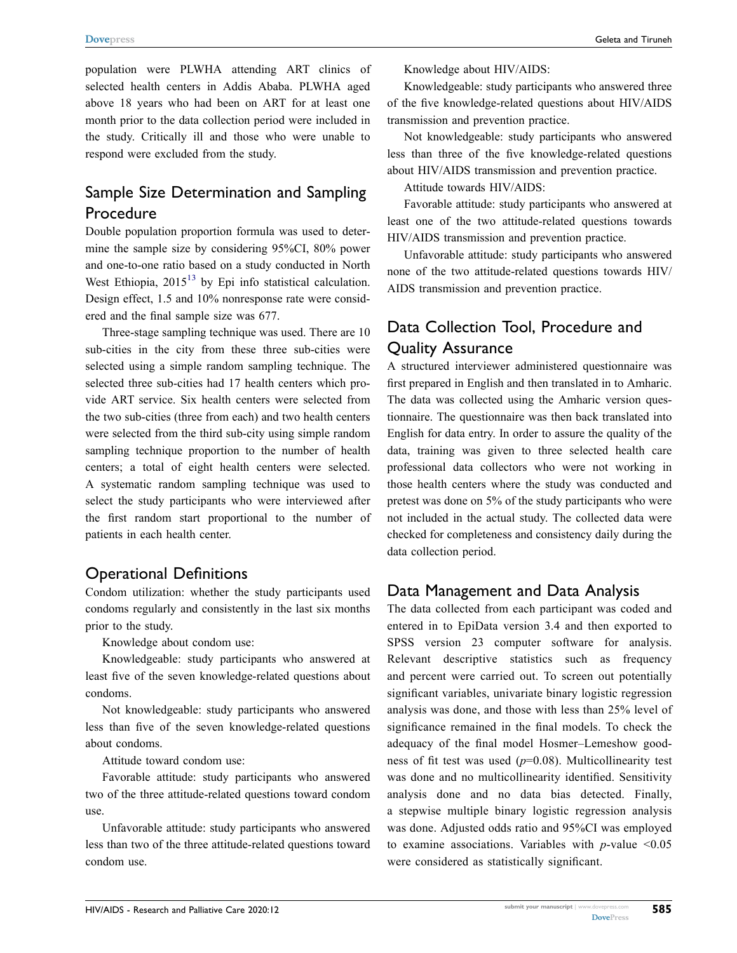population were PLWHA attending ART clinics of selected health centers in Addis Ababa. PLWHA aged above 18 years who had been on ART for at least one month prior to the data collection period were included in the study. Critically ill and those who were unable to respond were excluded from the study.

### Sample Size Determination and Sampling Procedure

Double population proportion formula was used to determine the sample size by considering 95%CI, 80% power and one-to-one ratio based on a study conducted in North West Ethiopia,  $2015^{13}$  by Epi info statistical calculation. Design effect, 1.5 and 10% nonresponse rate were considered and the final sample size was 677.

Three-stage sampling technique was used. There are 10 sub-cities in the city from these three sub-cities were selected using a simple random sampling technique. The selected three sub-cities had 17 health centers which provide ART service. Six health centers were selected from the two sub-cities (three from each) and two health centers were selected from the third sub-city using simple random sampling technique proportion to the number of health centers; a total of eight health centers were selected. A systematic random sampling technique was used to select the study participants who were interviewed after the first random start proportional to the number of patients in each health center.

### Operational Definitions

Condom utilization: whether the study participants used condoms regularly and consistently in the last six months prior to the study.

Knowledge about condom use:

Knowledgeable: study participants who answered at least five of the seven knowledge-related questions about condoms.

Not knowledgeable: study participants who answered less than five of the seven knowledge-related questions about condoms.

Attitude toward condom use:

Favorable attitude: study participants who answered two of the three attitude-related questions toward condom use.

Unfavorable attitude: study participants who answered less than two of the three attitude-related questions toward condom use.

Knowledge about HIV/AIDS:

Knowledgeable: study participants who answered three of the five knowledge-related questions about HIV/AIDS transmission and prevention practice.

Not knowledgeable: study participants who answered less than three of the five knowledge-related questions about HIV/AIDS transmission and prevention practice.

Attitude towards HIV/AIDS:

Favorable attitude: study participants who answered at least one of the two attitude-related questions towards HIV/AIDS transmission and prevention practice.

Unfavorable attitude: study participants who answered none of the two attitude-related questions towards HIV/ AIDS transmission and prevention practice.

### Data Collection Tool, Procedure and Quality Assurance

A structured interviewer administered questionnaire was first prepared in English and then translated in to Amharic. The data was collected using the Amharic version questionnaire. The questionnaire was then back translated into English for data entry. In order to assure the quality of the data, training was given to three selected health care professional data collectors who were not working in those health centers where the study was conducted and pretest was done on 5% of the study participants who were not included in the actual study. The collected data were checked for completeness and consistency daily during the data collection period.

### Data Management and Data Analysis

The data collected from each participant was coded and entered in to EpiData version 3.4 and then exported to SPSS version 23 computer software for analysis. Relevant descriptive statistics such as frequency and percent were carried out. To screen out potentially significant variables, univariate binary logistic regression analysis was done, and those with less than 25% level of significance remained in the final models. To check the adequacy of the final model Hosmer–Lemeshow goodness of fit test was used (*p*=0.08). Multicollinearity test was done and no multicollinearity identified. Sensitivity analysis done and no data bias detected. Finally, a stepwise multiple binary logistic regression analysis was done. Adjusted odds ratio and 95%CI was employed to examine associations. Variables with *p*-value <0.05 were considered as statistically significant.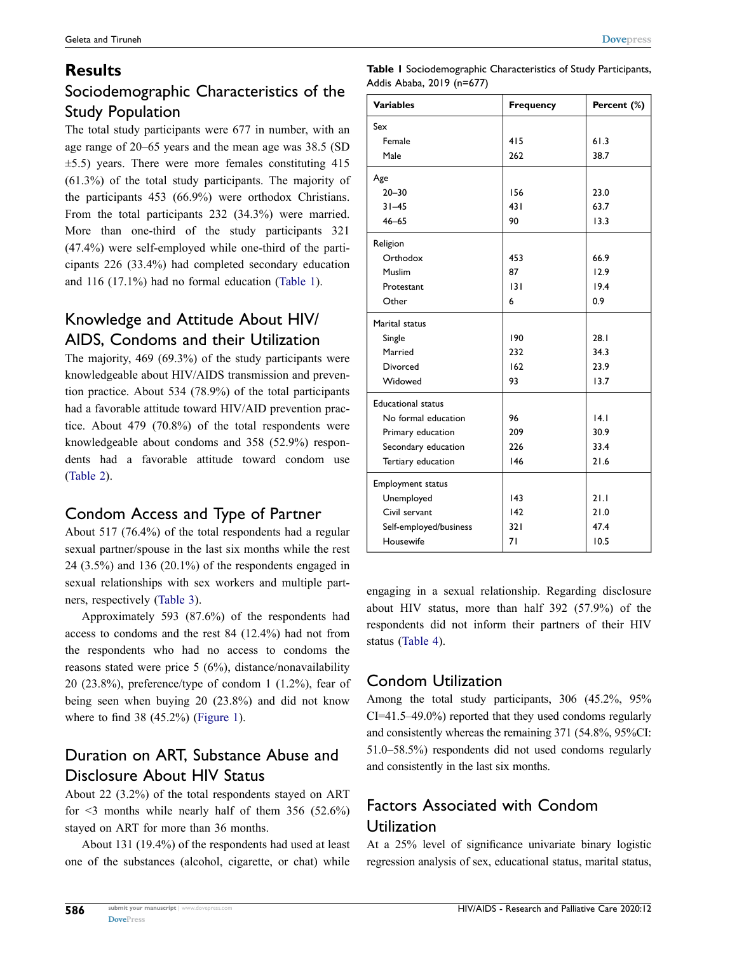### **Results**

# Sociodemographic Characteristics of the Study Population

The total study participants were 677 in number, with an age range of 20–65 years and the mean age was 38.5 (SD  $\pm$ 5.5) years. There were more females constituting 415 (61.3%) of the total study participants. The majority of the participants 453 (66.9%) were orthodox Christians. From the total participants 232 (34.3%) were married. More than one-third of the study participants 321 (47.4%) were self-employed while one-third of the participants 226 (33.4%) had completed secondary education and 116 (17.1%) had no formal education [\(Table 1](#page-3-0)).

# Knowledge and Attitude About HIV/ AIDS, Condoms and their Utilization

The majority, 469 (69.3%) of the study participants were knowledgeable about HIV/AIDS transmission and prevention practice. About 534 (78.9%) of the total participants had a favorable attitude toward HIV/AID prevention practice. About 479 (70.8%) of the total respondents were knowledgeable about condoms and 358 (52.9%) respondents had a favorable attitude toward condom use [\(Table 2\)](#page-4-0).

# Condom Access and Type of Partner

About 517 (76.4%) of the total respondents had a regular sexual partner/spouse in the last six months while the rest 24 (3.5%) and 136 (20.1%) of the respondents engaged in sexual relationships with sex workers and multiple partners, respectively [\(Table 3\)](#page-4-1).

Approximately 593 (87.6%) of the respondents had access to condoms and the rest 84 (12.4%) had not from the respondents who had no access to condoms the reasons stated were price 5 (6%), distance/nonavailability 20 (23.8%), preference/type of condom 1 (1.2%), fear of being seen when buying 20 (23.8%) and did not know where to find 38 (45.2%) [\(Figure 1](#page-4-2)).

# Duration on ART, Substance Abuse and Disclosure About HIV Status

About 22 (3.2%) of the total respondents stayed on ART for  $\leq$ 3 months while nearly half of them 356 (52.6%) stayed on ART for more than 36 months.

About 131 (19.4%) of the respondents had used at least one of the substances (alcohol, cigarette, or chat) while

<span id="page-3-0"></span>**Table 1** Sociodemographic Characteristics of Study Participants, Addis Ababa, 2019 (n=677)

| <b>Variables</b>          | <b>Frequency</b> | Percent (%) |
|---------------------------|------------------|-------------|
| Sex                       |                  |             |
| Female                    | 415              | 61.3        |
| Male                      | 262              | 38.7        |
| Age                       |                  |             |
| $20 - 30$                 | 156              | 23.0        |
| $31 - 45$                 | 431              | 63.7        |
| $46 - 65$                 | 90               | 13.3        |
| Religion                  |                  |             |
| Orthodox                  | 453              | 66.9        |
| Muslim                    | 87               | 12.9        |
| Protestant                | 3                | 19.4        |
| Other                     | 6                | 0.9         |
| Marital status            |                  |             |
| Single                    | 190              | 28.1        |
| Married                   | 232              | 34.3        |
| Divorced                  | 162              | 23.9        |
| Widowed                   | 93               | 13.7        |
| <b>Educational status</b> |                  |             |
| No formal education       | 96               | 4.1         |
| Primary education         | 209              | 30.9        |
| Secondary education       | 226              | 33.4        |
| Tertiary education        | 146              | 21.6        |
| <b>Employment status</b>  |                  |             |
| Unemployed                | 143              | 21.1        |
| Civil servant             | $ 42\rangle$     | 21.0        |
| Self-employed/business    | 321              | 47.4        |
| Housewife                 | 71               | 10.5        |

engaging in a sexual relationship. Regarding disclosure about HIV status, more than half 392 (57.9%) of the respondents did not inform their partners of their HIV status [\(Table 4\)](#page-4-3).

# Condom Utilization

Among the total study participants, 306 (45.2%, 95% CI=41.5–49.0%) reported that they used condoms regularly and consistently whereas the remaining 371 (54.8%, 95%CI: 51.0–58.5%) respondents did not used condoms regularly and consistently in the last six months.

# Factors Associated with Condom **Utilization**

At a 25% level of significance univariate binary logistic regression analysis of sex, educational status, marital status,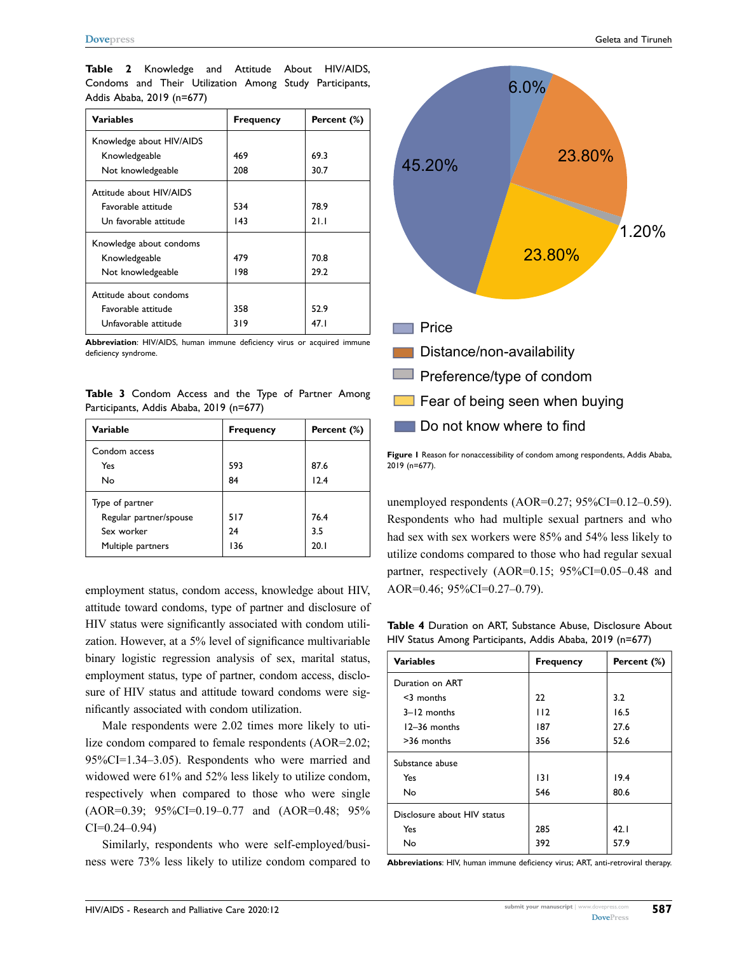<span id="page-4-0"></span>**Table 2** Knowledge and Attitude About HIV/AIDS, Condoms and Their Utilization Among Study Participants, Addis Ababa, 2019 (n=677)

| <b>Variables</b>         | <b>Frequency</b> | Percent (%) |  |
|--------------------------|------------------|-------------|--|
| Knowledge about HIV/AIDS |                  |             |  |
| Knowledgeable            | 469              | 69.3        |  |
| Not knowledgeable        | 208              | 30.7        |  |
| Attitude about HIV/AIDS  |                  |             |  |
| Favorable attitude       | 534              | 78.9        |  |
| Un favorable attitude    | 143              | 21.1        |  |
| Knowledge about condoms  |                  |             |  |
| Knowledgeable            | 479              | 70.8        |  |
| Not knowledgeable        | 198              | 29.2        |  |
| Attitude about condoms   |                  |             |  |
| Favorable attitude       | 358              | 52.9        |  |
| Unfavorable attitude     | 319              | 47. I       |  |

**Abbreviation**: HIV/AIDS, human immune deficiency virus or acquired immune deficiency syndrome.

<span id="page-4-1"></span>**Table 3** Condom Access and the Type of Partner Among Participants, Addis Ababa, 2019 (n=677)

| <b>Variable</b>        | <b>Frequency</b> | Percent (%) |  |
|------------------------|------------------|-------------|--|
| Condom access          |                  |             |  |
| Yes                    | 593              | 87.6        |  |
| No                     | 84               | 12.4        |  |
| Type of partner        |                  |             |  |
| Regular partner/spouse | 517              | 76.4        |  |
| Sex worker             | 24               | 3.5         |  |
| Multiple partners      | 136              | 20.1        |  |

employment status, condom access, knowledge about HIV, attitude toward condoms, type of partner and disclosure of HIV status were significantly associated with condom utilization. However, at a 5% level of significance multivariable binary logistic regression analysis of sex, marital status, employment status, type of partner, condom access, disclosure of HIV status and attitude toward condoms were significantly associated with condom utilization.

Male respondents were 2.02 times more likely to utilize condom compared to female respondents (AOR=2.02; 95%CI=1.34–3.05). Respondents who were married and widowed were 61% and 52% less likely to utilize condom, respectively when compared to those who were single (AOR=0.39; 95%CI=0.19–0.77 and (AOR=0.48; 95% CI=0.24–0.94)

Similarly, respondents who were self-employed/business were 73% less likely to utilize condom compared to

<span id="page-4-2"></span>

2019 (n=677).

unemployed respondents (AOR=0.27; 95%CI=0.12–0.59). Respondents who had multiple sexual partners and who had sex with sex workers were 85% and 54% less likely to utilize condoms compared to those who had regular sexual partner, respectively (AOR=0.15; 95%CI=0.05–0.48 and AOR=0.46; 95%CI=0.27–0.79).

<span id="page-4-3"></span>**Table 4** Duration on ART, Substance Abuse, Disclosure About HIV Status Among Participants, Addis Ababa, 2019 (n=677)

| <b>Variables</b>            | <b>Frequency</b> | Percent (%) |  |
|-----------------------------|------------------|-------------|--|
| Duration on ART             |                  |             |  |
| $<$ 3 months                | 22               | 3.2         |  |
| $3 - 12$ months             | 112              | 16.5        |  |
| 12-36 months                | 187              | 27.6        |  |
| >36 months                  | 356              | 52.6        |  |
| Substance abuse             |                  |             |  |
| Yes                         | 131              | 19.4        |  |
| No.                         | 546              | 80.6        |  |
| Disclosure about HIV status |                  |             |  |
| Yes                         | 285              | 42.1        |  |
| No.                         | 392              | 57.9        |  |

**Abbreviations**: HIV, human immune deficiency virus; ART, anti-retroviral therapy.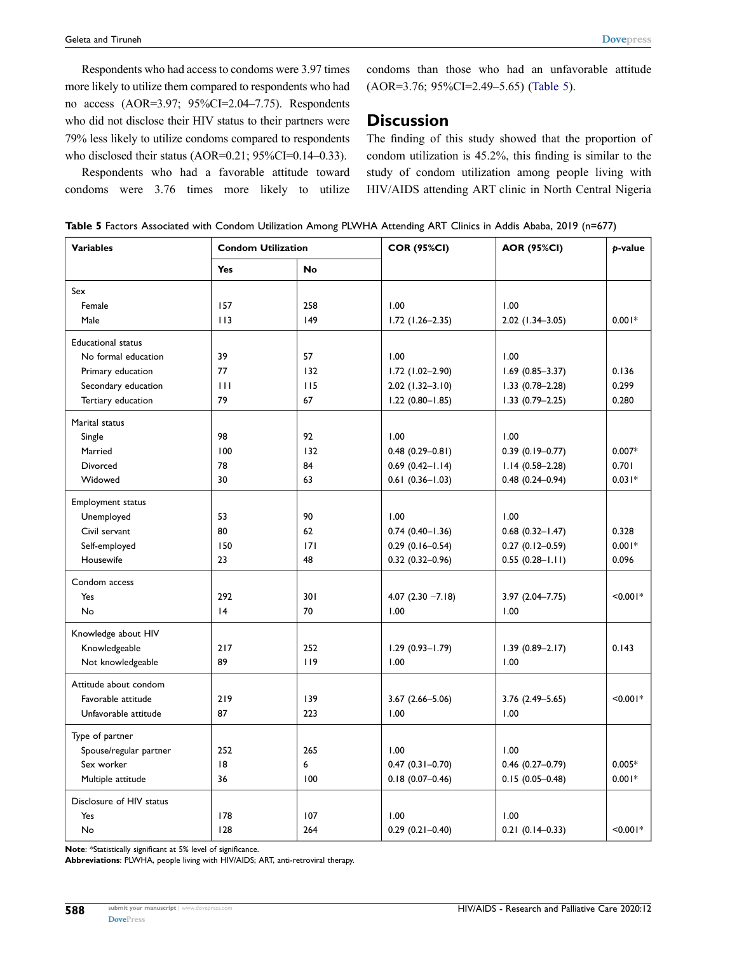Respondents who had access to condoms were 3.97 times more likely to utilize them compared to respondents who had no access (AOR=3.97; 95%CI=2.04–7.75). Respondents who did not disclose their HIV status to their partners were 79% less likely to utilize condoms compared to respondents who disclosed their status (AOR=0.21; 95%CI=0.14–0.33).

Respondents who had a favorable attitude toward condoms were 3.76 times more likely to utilize condoms than those who had an unfavorable attitude (AOR=3.76; 95%CI=2.49–5.65) [\(Table 5\)](#page-5-0).

#### **Discussion**

<span id="page-5-1"></span>The finding of this study showed that the proportion of condom utilization is 45.2%, this finding is similar to the study of condom utilization among people living with HIV/AIDS attending ART clinic in North Central Nigeria

| <b>Variables</b>          | <b>Condom Utilization</b> |           | <b>COR (95%CI)</b>     | <b>AOR (95%CI)</b>     | p-value    |
|---------------------------|---------------------------|-----------|------------------------|------------------------|------------|
|                           | <b>Yes</b>                | <b>No</b> |                        |                        |            |
| Sex                       |                           |           |                        |                        |            |
| Female                    | 157                       | 258       | 1.00                   | 1.00                   |            |
| Male                      | 113                       | 149       | $1.72$ (1.26-2.35)     | $2.02$ (1.34-3.05)     | $0.001*$   |
| <b>Educational status</b> |                           |           |                        |                        |            |
| No formal education       | 39                        | 57        | 1.00                   | 1.00                   |            |
| Primary education         | 77                        | 132       | 1.72 (1.02-2.90)       | $1.69$ (0.85-3.37)     | 0.136      |
| Secondary education       | $\mathbf{H}$              | 115       | $2.02$ (1.32-3.10)     | $1.33(0.78 - 2.28)$    | 0.299      |
| Tertiary education        | 79                        | 67        | $1.22(0.80 - 1.85)$    | $1.33(0.79 - 2.25)$    | 0.280      |
| Marital status            |                           |           |                        |                        |            |
| Single                    | 98                        | 92        | 1.00                   | 1.00                   |            |
| Married                   | 100                       | 132       | $0.48(0.29 - 0.81)$    | $0.39(0.19 - 0.77)$    | $0.007*$   |
| Divorced                  | 78                        | 84        | $0.69$ $(0.42 - 1.14)$ | $1.14(0.58 - 2.28)$    | 0.701      |
| Widowed                   | 30                        | 63        | $0.61(0.36 - 1.03)$    | $0.48$ $(0.24 - 0.94)$ | $0.031*$   |
| Employment status         |                           |           |                        |                        |            |
| Unemployed                | 53                        | 90        | 1.00                   | 1.00                   |            |
| Civil servant             | 80                        | 62        | $0.74(0.40 - 1.36)$    | $0.68$ $(0.32 - 1.47)$ | 0.328      |
| Self-employed             | 150                       | 171       | $0.29$ (0.16-0.54)     | $0.27(0.12 - 0.59)$    | $0.001*$   |
| Housewife                 | 23                        | 48        | $0.32(0.32 - 0.96)$    | $0.55(0.28 - 1.11)$    | 0.096      |
| Condom access             |                           |           |                        |                        |            |
| Yes                       | 292                       | 301       | 4.07 $(2.30 - 7.18)$   | 3.97 (2.04-7.75)       | $< 0.001*$ |
| No                        | 4                         | 70        | 1.00                   | 1.00                   |            |
| Knowledge about HIV       |                           |           |                        |                        |            |
| Knowledgeable             | 217                       | 252       | $1.29(0.93 - 1.79)$    | $1.39(0.89 - 2.17)$    | 0.143      |
| Not knowledgeable         | 89                        | 119       | 1.00                   | 1.00                   |            |
| Attitude about condom     |                           |           |                        |                        |            |
| Favorable attitude        | 219                       | 139       | $3.67(2.66 - 5.06)$    | $3.76$ (2.49-5.65)     | $< 0.001*$ |
| Unfavorable attitude      | 87                        | 223       | 1.00                   | 1.00                   |            |
| Type of partner           |                           |           |                        |                        |            |
| Spouse/regular partner    | 252                       | 265       | 1.00                   | 1.00                   |            |
| Sex worker                | 8                         | 6         | $0.47(0.31 - 0.70)$    | $0.46$ (0.27-0.79)     | $0.005*$   |
| Multiple attitude         | 36                        | 100       | $0.18(0.07 - 0.46)$    | $0.15(0.05 - 0.48)$    | $0.001*$   |
| Disclosure of HIV status  |                           |           |                        |                        |            |
| Yes                       | 178                       | 107       | 1.00                   | 1.00                   |            |
| No                        | 128                       | 264       | $0.29$ (0.21-0.40)     | $0.21(0.14-0.33)$      | $< 0.001*$ |

<span id="page-5-0"></span>**Table 5** Factors Associated with Condom Utilization Among PLWHA Attending ART Clinics in Addis Ababa, 2019 (n=677)

**Note**: \*Statistically significant at 5% level of significance.

**Abbreviations**: PLWHA, people living with HIV/AIDS; ART, anti-retroviral therapy.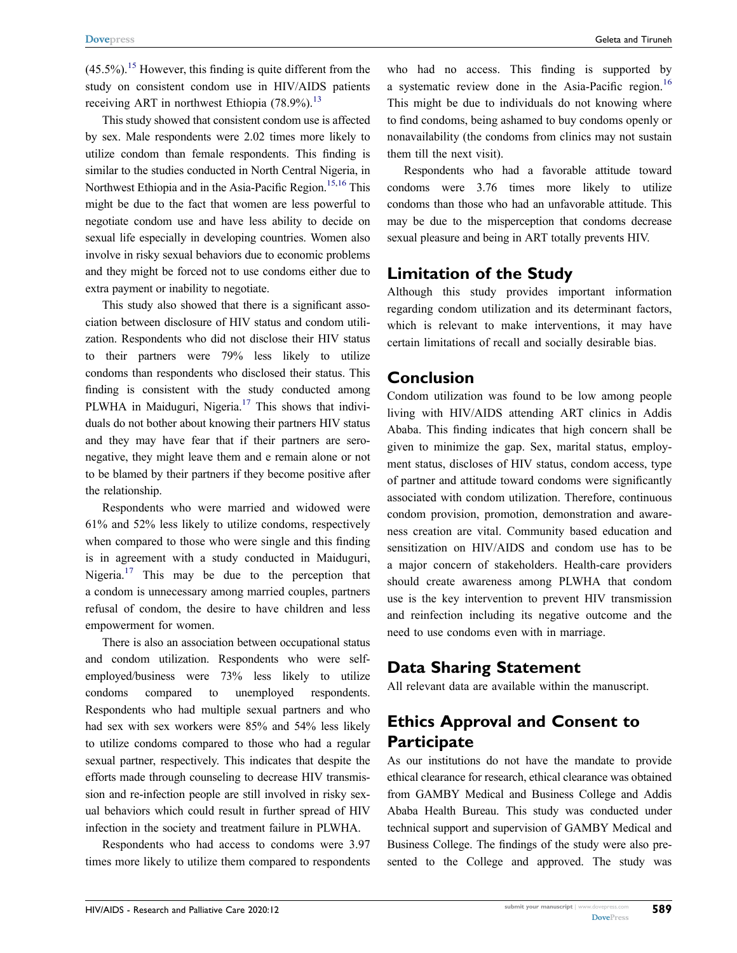$(45.5\%)$ <sup>[15](#page-7-14)</sup> However, this finding is quite different from the study on consistent condom use in HIV/AIDS patients receiving ART in northwest Ethiopia  $(78.9\%)$ .<sup>[13](#page-7-12)</sup>

This study showed that consistent condom use is affected by sex. Male respondents were 2.02 times more likely to utilize condom than female respondents. This finding is similar to the studies conducted in North Central Nigeria, in Northwest Ethiopia and in the Asia-Pacific Region.<sup>15,16</sup> This might be due to the fact that women are less powerful to negotiate condom use and have less ability to decide on sexual life especially in developing countries. Women also involve in risky sexual behaviors due to economic problems and they might be forced not to use condoms either due to extra payment or inability to negotiate.

This study also showed that there is a significant association between disclosure of HIV status and condom utilization. Respondents who did not disclose their HIV status to their partners were 79% less likely to utilize condoms than respondents who disclosed their status. This finding is consistent with the study conducted among PLWHA in Maiduguri, Nigeria.<sup>17</sup> This shows that individuals do not bother about knowing their partners HIV status and they may have fear that if their partners are seronegative, they might leave them and e remain alone or not to be blamed by their partners if they become positive after the relationship.

<span id="page-6-1"></span>Respondents who were married and widowed were 61% and 52% less likely to utilize condoms, respectively when compared to those who were single and this finding is in agreement with a study conducted in Maiduguri, Nigeria.<sup>17</sup> This may be due to the perception that a condom is unnecessary among married couples, partners refusal of condom, the desire to have children and less empowerment for women.

There is also an association between occupational status and condom utilization. Respondents who were selfemployed/business were 73% less likely to utilize condoms compared to unemployed respondents. Respondents who had multiple sexual partners and who had sex with sex workers were 85% and 54% less likely to utilize condoms compared to those who had a regular sexual partner, respectively. This indicates that despite the efforts made through counseling to decrease HIV transmission and re-infection people are still involved in risky sexual behaviors which could result in further spread of HIV infection in the society and treatment failure in PLWHA.

Respondents who had access to condoms were 3.97 times more likely to utilize them compared to respondents <span id="page-6-0"></span>who had no access. This finding is supported by a systematic review done in the Asia-Pacific region.<sup>[16](#page-7-15)</sup> This might be due to individuals do not knowing where to find condoms, being ashamed to buy condoms openly or nonavailability (the condoms from clinics may not sustain them till the next visit).

Respondents who had a favorable attitude toward condoms were 3.76 times more likely to utilize condoms than those who had an unfavorable attitude. This may be due to the misperception that condoms decrease sexual pleasure and being in ART totally prevents HIV.

### **Limitation of the Study**

Although this study provides important information regarding condom utilization and its determinant factors, which is relevant to make interventions, it may have certain limitations of recall and socially desirable bias.

### **Conclusion**

Condom utilization was found to be low among people living with HIV/AIDS attending ART clinics in Addis Ababa. This finding indicates that high concern shall be given to minimize the gap. Sex, marital status, employment status, discloses of HIV status, condom access, type of partner and attitude toward condoms were significantly associated with condom utilization. Therefore, continuous condom provision, promotion, demonstration and awareness creation are vital. Community based education and sensitization on HIV/AIDS and condom use has to be a major concern of stakeholders. Health-care providers should create awareness among PLWHA that condom use is the key intervention to prevent HIV transmission and reinfection including its negative outcome and the need to use condoms even with in marriage.

# **Data Sharing Statement**

All relevant data are available within the manuscript.

# **Ethics Approval and Consent to Participate**

As our institutions do not have the mandate to provide ethical clearance for research, ethical clearance was obtained from GAMBY Medical and Business College and Addis Ababa Health Bureau. This study was conducted under technical support and supervision of GAMBY Medical and Business College. The findings of the study were also presented to the College and approved. The study was

**589**